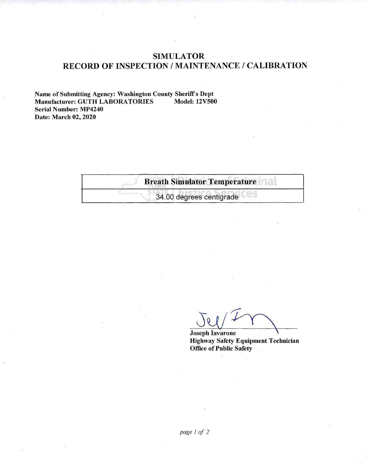## **SIMULATOR** RECORD OF INSPECTION / MAINTENANCE / CALIBRATION

Name of Submitting Agency: Washington County Sheriff's Dept Manufacturer: GUTH LABORATORIES **Model: 12V500 Serial Number: MP4240** Date: March 02, 2020

| <b>Breath Simulator Temperature</b> |  |
|-------------------------------------|--|
| 34.00 degrees centigrade            |  |

**Joseph Iavarone Highway Safety Equipment Technician** Office of Public Safety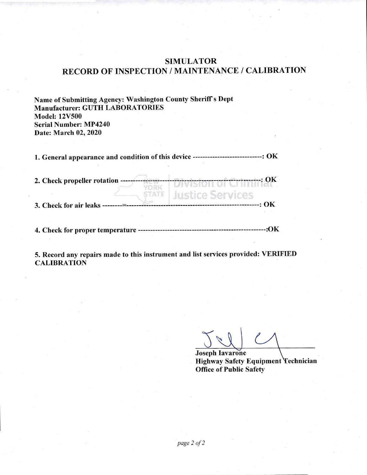## **SIMULATOR** RECORD OF INSPECTION / MAINTENANCE / CALIBRATION

Name of Submitting Agency: Washington County Sheriff's Dept Manufacturer: GUTH LABORATORIES **Model: 12V500 Serial Number: MP4240** Date: March 02, 2020

1. General appearance and condition of this device ----------------------------: OK

| 2. Check propeller rotation ---- | ------------------: OK                                |
|----------------------------------|-------------------------------------------------------|
| 3. Check for air leaks           | <b>Justice Services</b><br>----------------------: OK |
| 4. Check for proper temperature  |                                                       |

5. Record any repairs made to this instrument and list services provided: VERIFIED **CALIBRATION** 

**Joseph Iavarone** Highway Safety Equipment Technician **Office of Public Safety**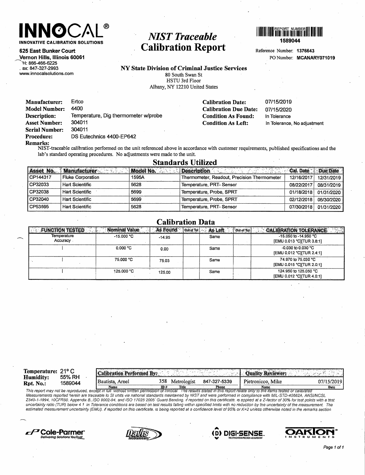

625 East Bunker Court

Vernon Hills, Illinois 60061 H: 866-466-6225 . ax: 847-327-2993 www.innocalsolutions.com

# **NIST Traceable Calibration Report**



Reference Number: 1376643 PO Number: MCANARY071019

NY State Division of Criminal Justice Services 80 South Swan St HSTU 3rd Floor Albany, NY 12210 United States

> **Calibration Date: Calibration Due Date: Condition As Found: Condition As Left:**

07/15/2019 07/15/2020 In Tolerance In Tolerance, No adjustment

Ertco **Manufacturer:** 4400 **Model Number:** Temperature, Dig thermometer w/probe Description: 304011 **Asset Number: Serial Number:** 304011 Procedure: DS Eutechnics 4400-EP642

Remarks:<br>NIST-traceable calibration performed on the unit referenced above in accordance with customer requirements, published specifications and the<br>NIST-traceable calibration performed on the unit contractor the unit lab's standard operating procedures. No adjustments were made to the unit.

### **Standards Utilized**

| Asset No. | <b>Manufacturer</b>      | <b>Model No.</b> | <b>Description</b>                          | <b>Cal. Date</b> | Due Date   |
|-----------|--------------------------|------------------|---------------------------------------------|------------------|------------|
| CP144317  | <b>Fluke Corporation</b> | 1595A            | Thermometer, Readout, Precision Thermometer | 12/16/2017       | 12/31/2019 |
| CP32033   | Hart Scientific          | 5628             | Temperature, PRT-Sensor                     | 08/22/2017       | 08/31/2019 |
| CP32038   | Hart Scientific          | 5699             | Temperature, Probe, SPRT                    | 01/18/2018       | 01/31/2020 |
| CP32040   | Hart Scientific          | 5699             | Temperature, Probe, SPRT                    | 02/12/2018       | 06/30/2020 |
| CP53595   | Hart Scientific          | 5628             | Temperature, PRT-Sensor                     | 07/30/2018       | 01/31/2020 |

#### **Calibration Data**

| <b>FUNCTION TESTED</b>   | <b>Nominal Value</b> | As Found | Out of Tol<br>As Left<br>Out of Tol- | 33<br><b>CALIBRATION TOLERANCE</b>                     |
|--------------------------|----------------------|----------|--------------------------------------|--------------------------------------------------------|
| Temperature<br>Accuracy. | $-15.000 °C$         | $-14.95$ | Same                                 | $-15.050$ to $-14.950$ °C<br>[EMU 0.013 °C][TUR 3.8:1] |
|                          | 0.000 °C             | 0.00     | Same                                 | $-0.030$ to 0.030 °C<br>[EMU 0.012 °C][TUR 2.4:1]      |
|                          | 75.000 °C            | 75.03    | Same                                 | 74,970 to 75,030 °C<br>[EMU 0.015 °CITUR 2.0:1]        |
|                          | 125.000 °C           | 125.00   | Same                                 | 124.950 to 125.050 °C<br>TEMU 0.012 °CITUR 4.0:11      |

| Temperature: 21 <sup>o</sup> C<br>Humidity:<br>Rpt. No.: | 55% RH<br>1589044 | <b>Calibration Performed By:</b> |             |                      |                       | <b>Ouality Reviewer:</b>  |                     |
|----------------------------------------------------------|-------------------|----------------------------------|-------------|----------------------|-----------------------|---------------------------|---------------------|
|                                                          |                   | Bautista, Arnel<br>Name          | 358<br>ID ÷ | Metrologist<br>Title | 847-327-5339<br>Phone | Pietronicco, Mike<br>Name | 07/15/2019<br>Date. |

This report may not be reproduced, except in full, without written permission of Innocal The results stated in this report relate only to the items tested or calibrated Measurements reported herein are traceable to SI units via national standards maintained by NIST and were performed in compliance with MIL-STD-45662A, ANSI/NCSL Z540-1-1994, 10CFR50. Appendix B. ISO 9002-94, and ISO 17025 2005 Guard Banding. if reported on this certificate. is applied at a Z-factor of 30% for test points with a test uncertainty ratio (TUR) below 4 1 In Tolerance conditions are based on test results falling within specified limits with no reduction by the uncertainty of the measurement. The estimated measurement uncertainty (EMU). If reported on this certificate. Is being reported at a confidence level of 95% or K=2 unless otherwise noted in the remarks section